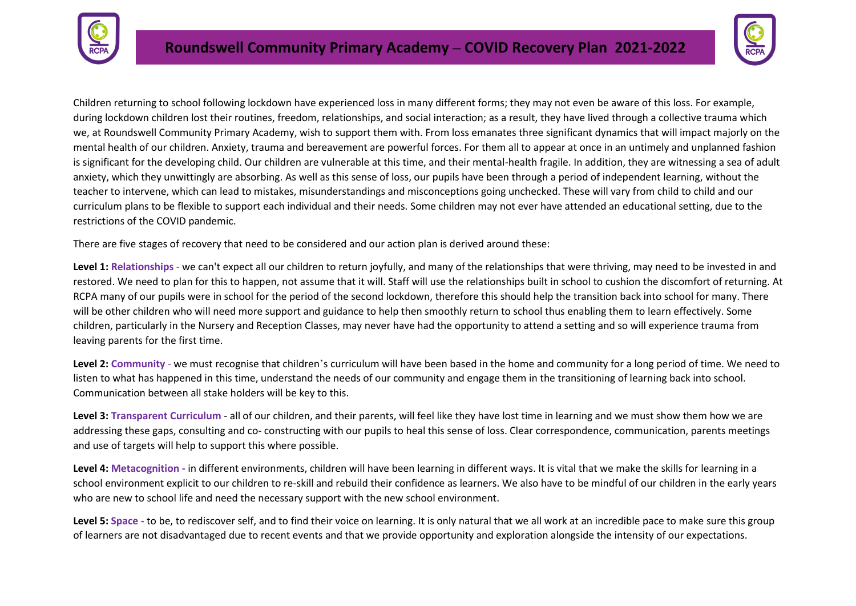



Children returning to school following lockdown have experienced loss in many different forms; they may not even be aware of this loss. For example, during lockdown children lost their routines, freedom, relationships, and social interaction; as a result, they have lived through a collective trauma which we, at Roundswell Community Primary Academy, wish to support them with. From loss emanates three significant dynamics that will impact majorly on the mental health of our children. Anxiety, trauma and bereavement are powerful forces. For them all to appear at once in an untimely and unplanned fashion is significant for the developing child. Our children are vulnerable at this time, and their mental-health fragile. In addition, they are witnessing a sea of adult anxiety, which they unwittingly are absorbing. As well as this sense of loss, our pupils have been through a period of independent learning, without the teacher to intervene, which can lead to mistakes, misunderstandings and misconceptions going unchecked. These will vary from child to child and our curriculum plans to be flexible to support each individual and their needs. Some children may not ever have attended an educational setting, due to the restrictions of the COVID pandemic.

There are five stages of recovery that need to be considered and our action plan is derived around these:

**Level 1: Relationships** - we can't expect all our children to return joyfully, and many of the relationships that were thriving, may need to be invested in and restored. We need to plan for this to happen, not assume that it will. Staff will use the relationships built in school to cushion the discomfort of returning. At RCPA many of our pupils were in school for the period of the second lockdown, therefore this should help the transition back into school for many. There will be other children who will need more support and guidance to help then smoothly return to school thus enabling them to learn effectively. Some children, particularly in the Nursery and Reception Classes, may never have had the opportunity to attend a setting and so will experience trauma from leaving parents for the first time.

**Level 2: Community** - we must recognise that children's curriculum will have been based in the home and community for a long period of time. We need to listen to what has happened in this time, understand the needs of our community and engage them in the transitioning of learning back into school. Communication between all stake holders will be key to this.

**Level 3: Transparent Curriculum** - all of our children, and their parents, will feel like they have lost time in learning and we must show them how we are addressing these gaps, consulting and co- constructing with our pupils to heal this sense of loss. Clear correspondence, communication, parents meetings and use of targets will help to support this where possible.

**Level 4: Metacognition -** in different environments, children will have been learning in different ways. It is vital that we make the skills for learning in a school environment explicit to our children to re-skill and rebuild their confidence as learners. We also have to be mindful of our children in the early years who are new to school life and need the necessary support with the new school environment.

**Level 5: Space -** to be, to rediscover self, and to find their voice on learning. It is only natural that we all work at an incredible pace to make sure this group of learners are not disadvantaged due to recent events and that we provide opportunity and exploration alongside the intensity of our expectations.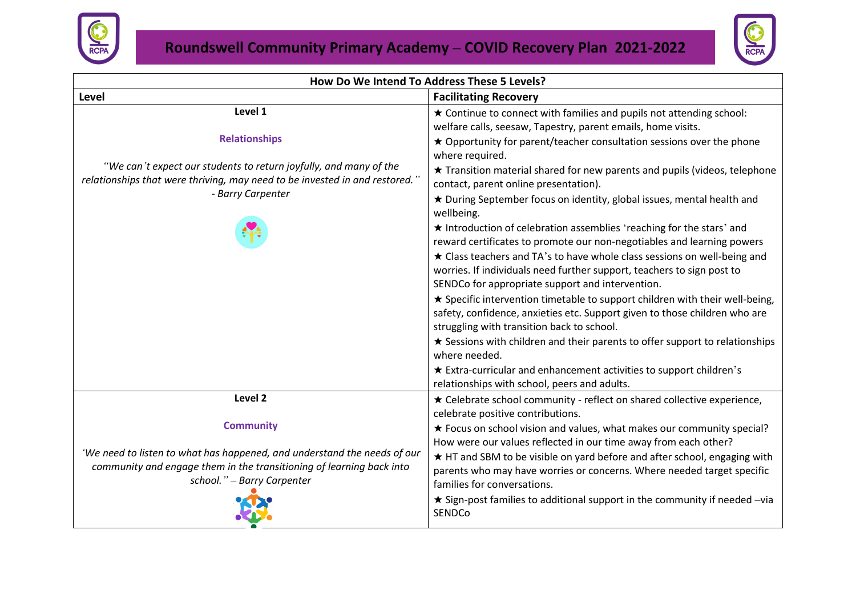



| How Do We Intend To Address These 5 Levels?                                                                                                                                    |                                                                                                                                                                                                                                                                                                                                                           |  |  |  |  |
|--------------------------------------------------------------------------------------------------------------------------------------------------------------------------------|-----------------------------------------------------------------------------------------------------------------------------------------------------------------------------------------------------------------------------------------------------------------------------------------------------------------------------------------------------------|--|--|--|--|
| Level                                                                                                                                                                          | <b>Facilitating Recovery</b>                                                                                                                                                                                                                                                                                                                              |  |  |  |  |
| Level 1                                                                                                                                                                        | * Continue to connect with families and pupils not attending school:<br>welfare calls, seesaw, Tapestry, parent emails, home visits.                                                                                                                                                                                                                      |  |  |  |  |
| <b>Relationships</b>                                                                                                                                                           | ★ Opportunity for parent/teacher consultation sessions over the phone<br>where required.                                                                                                                                                                                                                                                                  |  |  |  |  |
| "We can't expect our students to return joyfully, and many of the<br>relationships that were thriving, may need to be invested in and restored.'<br>- Barry Carpenter          | ★ Transition material shared for new parents and pupils (videos, telephone<br>contact, parent online presentation).                                                                                                                                                                                                                                       |  |  |  |  |
|                                                                                                                                                                                | * During September focus on identity, global issues, mental health and<br>wellbeing.                                                                                                                                                                                                                                                                      |  |  |  |  |
|                                                                                                                                                                                | ★ Introduction of celebration assemblies 'reaching for the stars' and<br>reward certificates to promote our non-negotiables and learning powers<br>* Class teachers and TA's to have whole class sessions on well-being and<br>worries. If individuals need further support, teachers to sign post to<br>SENDCo for appropriate support and intervention. |  |  |  |  |
|                                                                                                                                                                                | ★ Specific intervention timetable to support children with their well-being,<br>safety, confidence, anxieties etc. Support given to those children who are<br>struggling with transition back to school.                                                                                                                                                  |  |  |  |  |
|                                                                                                                                                                                | ★ Sessions with children and their parents to offer support to relationships<br>where needed.                                                                                                                                                                                                                                                             |  |  |  |  |
|                                                                                                                                                                                | ★ Extra-curricular and enhancement activities to support children's<br>relationships with school, peers and adults.                                                                                                                                                                                                                                       |  |  |  |  |
| Level <sub>2</sub>                                                                                                                                                             | ★ Celebrate school community - reflect on shared collective experience,<br>celebrate positive contributions.                                                                                                                                                                                                                                              |  |  |  |  |
| <b>Community</b>                                                                                                                                                               | ★ Focus on school vision and values, what makes our community special?<br>How were our values reflected in our time away from each other?                                                                                                                                                                                                                 |  |  |  |  |
| 'We need to listen to what has happened, and understand the needs of our<br>community and engage them in the transitioning of learning back into<br>school." - Barry Carpenter | * HT and SBM to be visible on yard before and after school, engaging with<br>parents who may have worries or concerns. Where needed target specific<br>families for conversations.                                                                                                                                                                        |  |  |  |  |
|                                                                                                                                                                                | $\star$ Sign-post families to additional support in the community if needed -via<br>SENDCo                                                                                                                                                                                                                                                                |  |  |  |  |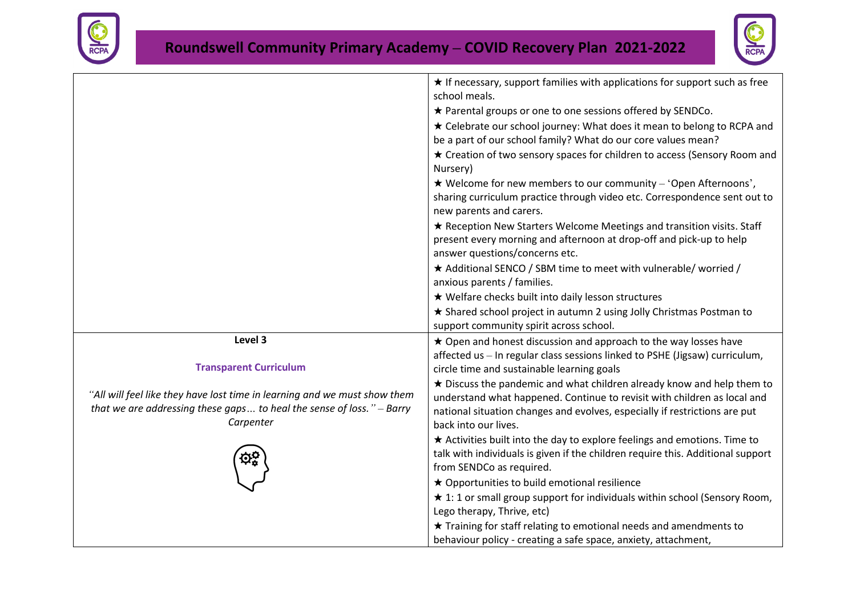



|                                                                                      | $\star$ If necessary, support families with applications for support such as free<br>school meals.                                                                              |
|--------------------------------------------------------------------------------------|---------------------------------------------------------------------------------------------------------------------------------------------------------------------------------|
|                                                                                      | * Parental groups or one to one sessions offered by SENDCo.                                                                                                                     |
|                                                                                      | ★ Celebrate our school journey: What does it mean to belong to RCPA and                                                                                                         |
|                                                                                      | be a part of our school family? What do our core values mean?                                                                                                                   |
|                                                                                      | ★ Creation of two sensory spaces for children to access (Sensory Room and<br>Nursery)                                                                                           |
|                                                                                      | $\star$ Welcome for new members to our community – 'Open Afternoons',                                                                                                           |
|                                                                                      | sharing curriculum practice through video etc. Correspondence sent out to<br>new parents and carers.                                                                            |
|                                                                                      | ★ Reception New Starters Welcome Meetings and transition visits. Staff<br>present every morning and afternoon at drop-off and pick-up to help<br>answer questions/concerns etc. |
|                                                                                      | ★ Additional SENCO / SBM time to meet with vulnerable/ worried /                                                                                                                |
|                                                                                      | anxious parents / families.                                                                                                                                                     |
|                                                                                      | ★ Welfare checks built into daily lesson structures                                                                                                                             |
|                                                                                      | * Shared school project in autumn 2 using Jolly Christmas Postman to                                                                                                            |
|                                                                                      | support community spirit across school.                                                                                                                                         |
| Level 3                                                                              | ★ Open and honest discussion and approach to the way losses have                                                                                                                |
| <b>Transparent Curriculum</b>                                                        | affected us - In regular class sessions linked to PSHE (Jigsaw) curriculum,<br>circle time and sustainable learning goals                                                       |
|                                                                                      | $\star$ Discuss the pandemic and what children already know and help them to                                                                                                    |
| "All will feel like they have lost time in learning and we must show them            | understand what happened. Continue to revisit with children as local and                                                                                                        |
| that we are addressing these gaps to heal the sense of loss." $-$ Barry<br>Carpenter | national situation changes and evolves, especially if restrictions are put<br>back into our lives.                                                                              |
|                                                                                      | * Activities built into the day to explore feelings and emotions. Time to                                                                                                       |
|                                                                                      | talk with individuals is given if the children require this. Additional support                                                                                                 |
|                                                                                      | from SENDCo as required.                                                                                                                                                        |
|                                                                                      | ★ Opportunities to build emotional resilience                                                                                                                                   |
|                                                                                      | $\star$ 1: 1 or small group support for individuals within school (Sensory Room,                                                                                                |
|                                                                                      | Lego therapy, Thrive, etc)                                                                                                                                                      |
|                                                                                      | ★ Training for staff relating to emotional needs and amendments to                                                                                                              |
|                                                                                      | behaviour policy - creating a safe space, anxiety, attachment,                                                                                                                  |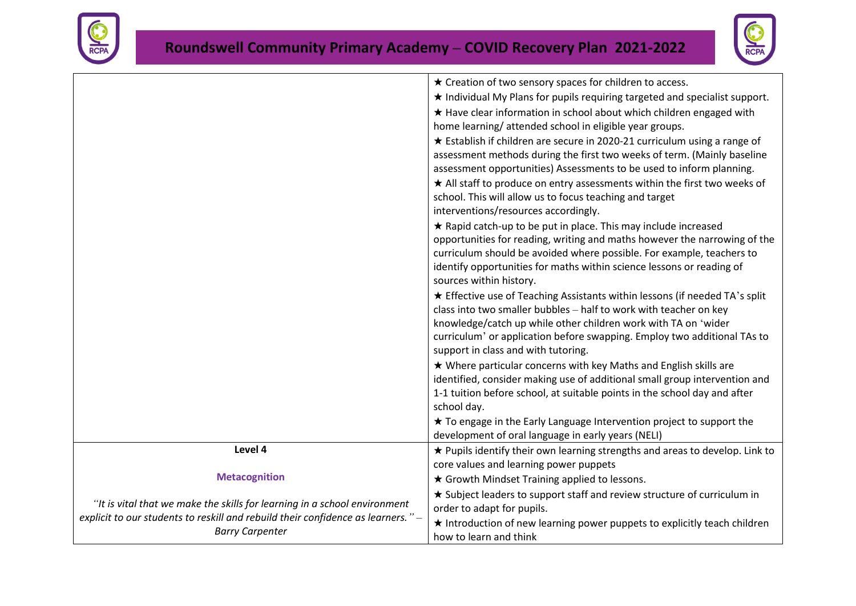



|                                                                                                            | ★ Creation of two sensory spaces for children to access.                                                                                                                                                                                                                                                                                                                                                     |
|------------------------------------------------------------------------------------------------------------|--------------------------------------------------------------------------------------------------------------------------------------------------------------------------------------------------------------------------------------------------------------------------------------------------------------------------------------------------------------------------------------------------------------|
|                                                                                                            | * Individual My Plans for pupils requiring targeted and specialist support.                                                                                                                                                                                                                                                                                                                                  |
|                                                                                                            | * Have clear information in school about which children engaged with                                                                                                                                                                                                                                                                                                                                         |
|                                                                                                            | home learning/ attended school in eligible year groups.                                                                                                                                                                                                                                                                                                                                                      |
|                                                                                                            | ★ Establish if children are secure in 2020-21 curriculum using a range of<br>assessment methods during the first two weeks of term. (Mainly baseline<br>assessment opportunities) Assessments to be used to inform planning.<br>* All staff to produce on entry assessments within the first two weeks of<br>school. This will allow us to focus teaching and target<br>interventions/resources accordingly. |
|                                                                                                            | * Rapid catch-up to be put in place. This may include increased<br>opportunities for reading, writing and maths however the narrowing of the<br>curriculum should be avoided where possible. For example, teachers to<br>identify opportunities for maths within science lessons or reading of<br>sources within history.                                                                                    |
|                                                                                                            | ★ Effective use of Teaching Assistants within lessons (if needed TA's split<br>class into two smaller bubbles - half to work with teacher on key<br>knowledge/catch up while other children work with TA on 'wider<br>curriculum' or application before swapping. Employ two additional TAs to<br>support in class and with tutoring.                                                                        |
|                                                                                                            | ★ Where particular concerns with key Maths and English skills are<br>identified, consider making use of additional small group intervention and<br>1-1 tuition before school, at suitable points in the school day and after<br>school day.                                                                                                                                                                  |
|                                                                                                            | * To engage in the Early Language Intervention project to support the<br>development of oral language in early years (NELI)                                                                                                                                                                                                                                                                                  |
| Level 4                                                                                                    | ★ Pupils identify their own learning strengths and areas to develop. Link to<br>core values and learning power puppets                                                                                                                                                                                                                                                                                       |
| <b>Metacognition</b>                                                                                       | ★ Growth Mindset Training applied to lessons.                                                                                                                                                                                                                                                                                                                                                                |
| "It is vital that we make the skills for learning in a school environment                                  | ★ Subject leaders to support staff and review structure of curriculum in<br>order to adapt for pupils.                                                                                                                                                                                                                                                                                                       |
| explicit to our students to reskill and rebuild their confidence as learners." –<br><b>Barry Carpenter</b> | * Introduction of new learning power puppets to explicitly teach children<br>how to learn and think                                                                                                                                                                                                                                                                                                          |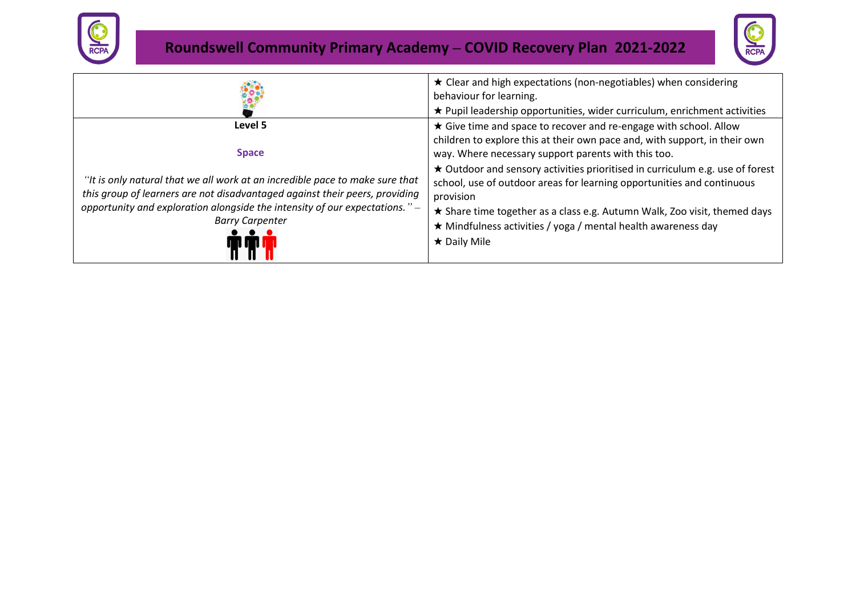



|                                                                                                                                                                             | $\star$ Clear and high expectations (non-negotiables) when considering<br>behaviour for learning.<br>★ Pupil leadership opportunities, wider curriculum, enrichment activities                                              |
|-----------------------------------------------------------------------------------------------------------------------------------------------------------------------------|-----------------------------------------------------------------------------------------------------------------------------------------------------------------------------------------------------------------------------|
| Level 5                                                                                                                                                                     | ★ Give time and space to recover and re-engage with school. Allow<br>children to explore this at their own pace and, with support, in their own                                                                             |
| <b>Space</b><br>"It is only natural that we all work at an incredible pace to make sure that<br>this group of learners are not disadvantaged against their peers, providing | way. Where necessary support parents with this too.<br>★ Outdoor and sensory activities prioritised in curriculum e.g. use of forest<br>school, use of outdoor areas for learning opportunities and continuous<br>provision |
| opportunity and exploration alongside the intensity of our expectations." -<br><b>Barry Carpenter</b>                                                                       | ★ Share time together as a class e.g. Autumn Walk, Zoo visit, themed days<br>★ Mindfulness activities / yoga / mental health awareness day<br>$\star$ Daily Mile                                                            |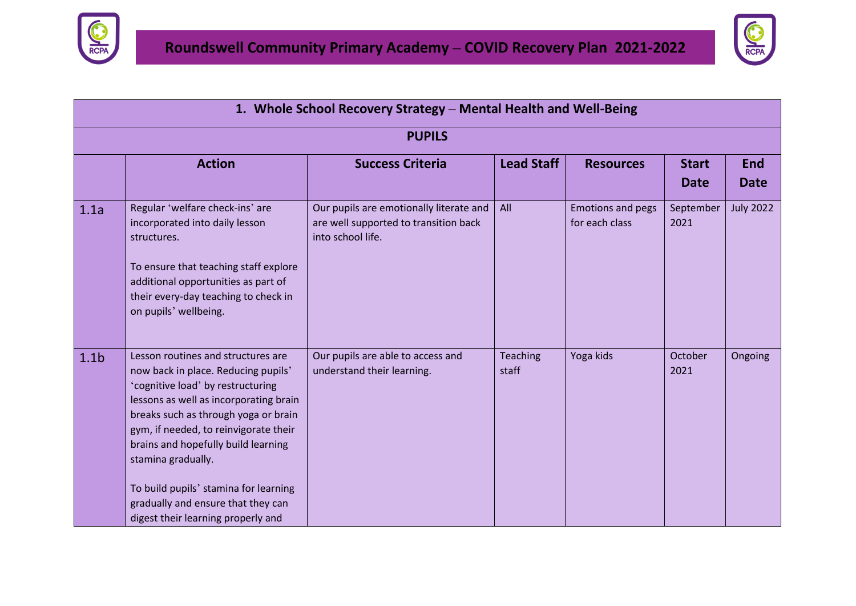



|                  | 1. Whole School Recovery Strategy - Mental Health and Well-Being                                                                                                                                                                                                                                                                                                                                                            |                                                                                                       |                   |                                            |                             |                    |  |
|------------------|-----------------------------------------------------------------------------------------------------------------------------------------------------------------------------------------------------------------------------------------------------------------------------------------------------------------------------------------------------------------------------------------------------------------------------|-------------------------------------------------------------------------------------------------------|-------------------|--------------------------------------------|-----------------------------|--------------------|--|
|                  |                                                                                                                                                                                                                                                                                                                                                                                                                             | <b>PUPILS</b>                                                                                         |                   |                                            |                             |                    |  |
|                  | <b>Action</b>                                                                                                                                                                                                                                                                                                                                                                                                               | <b>Success Criteria</b>                                                                               | <b>Lead Staff</b> | <b>Resources</b>                           | <b>Start</b><br><b>Date</b> | End<br><b>Date</b> |  |
| 1.1a             | Regular 'welfare check-ins' are<br>incorporated into daily lesson<br>structures.<br>To ensure that teaching staff explore<br>additional opportunities as part of<br>their every-day teaching to check in<br>on pupils' wellbeing.                                                                                                                                                                                           | Our pupils are emotionally literate and<br>are well supported to transition back<br>into school life. | All               | <b>Emotions and pegs</b><br>for each class | September<br>2021           | <b>July 2022</b>   |  |
| 1.1 <sub>b</sub> | Lesson routines and structures are<br>now back in place. Reducing pupils'<br>'cognitive load' by restructuring<br>lessons as well as incorporating brain<br>breaks such as through yoga or brain<br>gym, if needed, to reinvigorate their<br>brains and hopefully build learning<br>stamina gradually.<br>To build pupils' stamina for learning<br>gradually and ensure that they can<br>digest their learning properly and | Our pupils are able to access and<br>understand their learning.                                       | Teaching<br>staff | Yoga kids                                  | October<br>2021             | Ongoing            |  |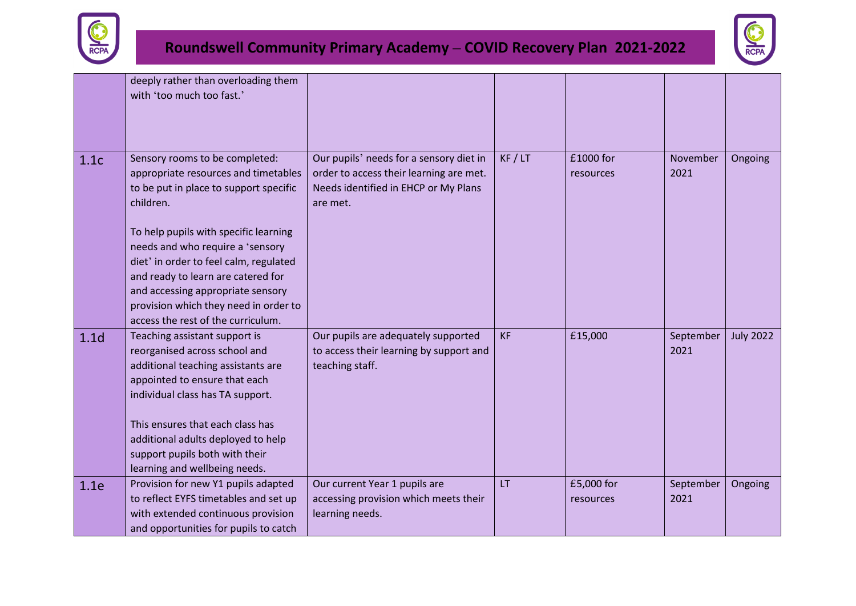



|                  | deeply rather than overloading them<br>with 'too much too fast.'                                                                                                                                                                                                                                                                                                                                               |                                                                                                                                        |           |                         |                   |                  |
|------------------|----------------------------------------------------------------------------------------------------------------------------------------------------------------------------------------------------------------------------------------------------------------------------------------------------------------------------------------------------------------------------------------------------------------|----------------------------------------------------------------------------------------------------------------------------------------|-----------|-------------------------|-------------------|------------------|
| 1.1c             | Sensory rooms to be completed:<br>appropriate resources and timetables<br>to be put in place to support specific<br>children.<br>To help pupils with specific learning<br>needs and who require a 'sensory<br>diet' in order to feel calm, regulated<br>and ready to learn are catered for<br>and accessing appropriate sensory<br>provision which they need in order to<br>access the rest of the curriculum. | Our pupils' needs for a sensory diet in<br>order to access their learning are met.<br>Needs identified in EHCP or My Plans<br>are met. | KF / LT   | £1000 for<br>resources  | November<br>2021  | Ongoing          |
| 1.1 <sub>d</sub> | Teaching assistant support is<br>reorganised across school and<br>additional teaching assistants are<br>appointed to ensure that each<br>individual class has TA support.<br>This ensures that each class has<br>additional adults deployed to help<br>support pupils both with their<br>learning and wellbeing needs.                                                                                         | Our pupils are adequately supported<br>to access their learning by support and<br>teaching staff.                                      | <b>KF</b> | £15,000                 | September<br>2021 | <b>July 2022</b> |
| 1.1e             | Provision for new Y1 pupils adapted<br>to reflect EYFS timetables and set up<br>with extended continuous provision<br>and opportunities for pupils to catch                                                                                                                                                                                                                                                    | Our current Year 1 pupils are<br>accessing provision which meets their<br>learning needs.                                              | LT        | £5,000 for<br>resources | September<br>2021 | Ongoing          |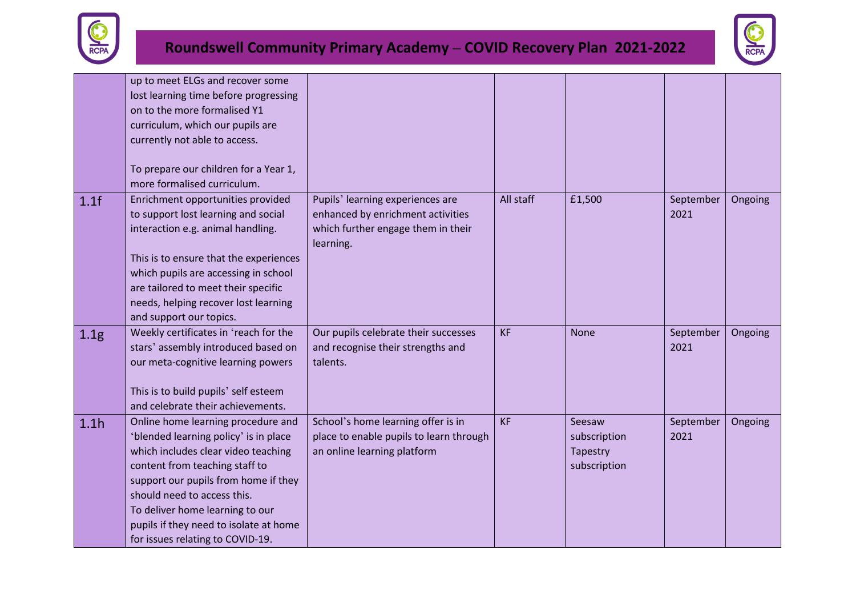



|                  | up to meet ELGs and recover some<br>lost learning time before progressing<br>on to the more formalised Y1<br>curriculum, which our pupils are<br>currently not able to access.<br>To prepare our children for a Year 1,                                                                                                                      |                                                                                                                          |           |                                                    |                   |         |
|------------------|----------------------------------------------------------------------------------------------------------------------------------------------------------------------------------------------------------------------------------------------------------------------------------------------------------------------------------------------|--------------------------------------------------------------------------------------------------------------------------|-----------|----------------------------------------------------|-------------------|---------|
| 1.1f             | more formalised curriculum.<br>Enrichment opportunities provided<br>to support lost learning and social<br>interaction e.g. animal handling.<br>This is to ensure that the experiences<br>which pupils are accessing in school<br>are tailored to meet their specific<br>needs, helping recover lost learning<br>and support our topics.     | Pupils' learning experiences are<br>enhanced by enrichment activities<br>which further engage them in their<br>learning. | All staff | £1,500                                             | September<br>2021 | Ongoing |
| 1.1 <sub>g</sub> | Weekly certificates in 'reach for the<br>stars' assembly introduced based on<br>our meta-cognitive learning powers<br>This is to build pupils' self esteem<br>and celebrate their achievements.                                                                                                                                              | Our pupils celebrate their successes<br>and recognise their strengths and<br>talents.                                    | <b>KF</b> | <b>None</b>                                        | September<br>2021 | Ongoing |
| 1.1h             | Online home learning procedure and<br>'blended learning policy' is in place<br>which includes clear video teaching<br>content from teaching staff to<br>support our pupils from home if they<br>should need to access this.<br>To deliver home learning to our<br>pupils if they need to isolate at home<br>for issues relating to COVID-19. | School's home learning offer is in<br>place to enable pupils to learn through<br>an online learning platform             | <b>KF</b> | Seesaw<br>subscription<br>Tapestry<br>subscription | September<br>2021 | Ongoing |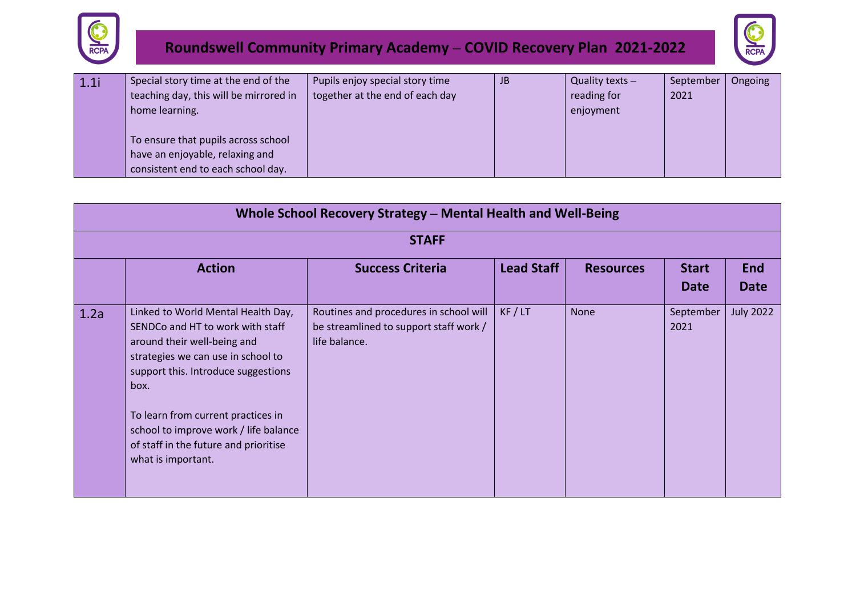



| 1.1i | Special story time at the end of the   | Pupils enjoy special story time | JB | Quality texts $-$ | September | Ongoing |
|------|----------------------------------------|---------------------------------|----|-------------------|-----------|---------|
|      | teaching day, this will be mirrored in | together at the end of each day |    | reading for       | 2021      |         |
|      | home learning.                         |                                 |    | enjoyment         |           |         |
|      |                                        |                                 |    |                   |           |         |
|      | To ensure that pupils across school    |                                 |    |                   |           |         |
|      | have an enjoyable, relaxing and        |                                 |    |                   |           |         |
|      | consistent end to each school day.     |                                 |    |                   |           |         |

|      | Whole School Recovery Strategy - Mental Health and Well-Being                                                                                                                                                                                                                                                                            |                                                                                                   |            |                  |                             |                           |  |  |
|------|------------------------------------------------------------------------------------------------------------------------------------------------------------------------------------------------------------------------------------------------------------------------------------------------------------------------------------------|---------------------------------------------------------------------------------------------------|------------|------------------|-----------------------------|---------------------------|--|--|
|      |                                                                                                                                                                                                                                                                                                                                          | <b>STAFF</b>                                                                                      |            |                  |                             |                           |  |  |
|      | <b>Action</b>                                                                                                                                                                                                                                                                                                                            | <b>Success Criteria</b>                                                                           | Lead Staff | <b>Resources</b> | <b>Start</b><br><b>Date</b> | <b>End</b><br><b>Date</b> |  |  |
| 1.2a | Linked to World Mental Health Day,<br>SENDCo and HT to work with staff<br>around their well-being and<br>strategies we can use in school to<br>support this. Introduce suggestions<br>box.<br>To learn from current practices in<br>school to improve work / life balance<br>of staff in the future and prioritise<br>what is important. | Routines and procedures in school will<br>be streamlined to support staff work /<br>life balance. | KF / LT    | <b>None</b>      | September<br>2021           | <b>July 2022</b>          |  |  |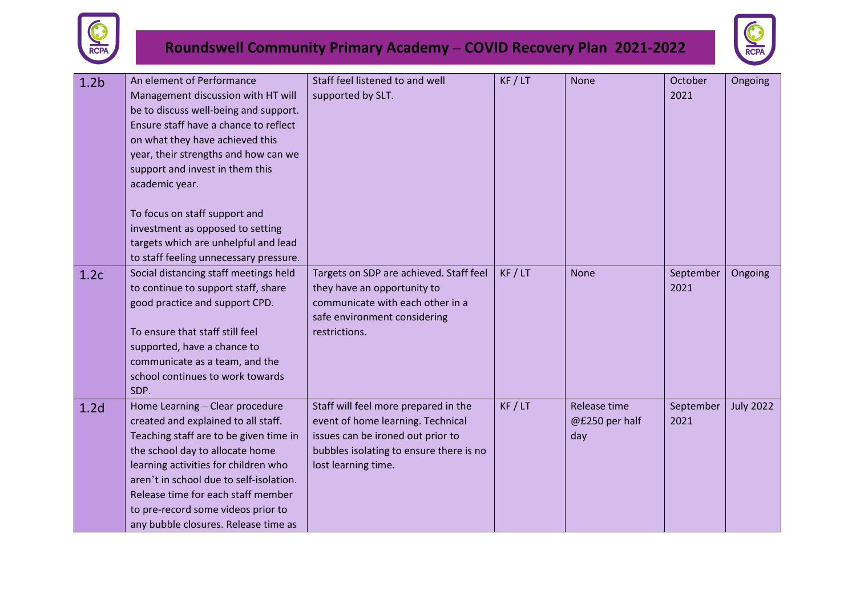



| 1.2 <sub>b</sub> | An element of Performance               | Staff feel listened to and well         | KF / LT | <b>None</b>    | October   | Ongoing          |
|------------------|-----------------------------------------|-----------------------------------------|---------|----------------|-----------|------------------|
|                  | Management discussion with HT will      | supported by SLT.                       |         |                | 2021      |                  |
|                  | be to discuss well-being and support.   |                                         |         |                |           |                  |
|                  | Ensure staff have a chance to reflect   |                                         |         |                |           |                  |
|                  | on what they have achieved this         |                                         |         |                |           |                  |
|                  | year, their strengths and how can we    |                                         |         |                |           |                  |
|                  | support and invest in them this         |                                         |         |                |           |                  |
|                  | academic year.                          |                                         |         |                |           |                  |
|                  |                                         |                                         |         |                |           |                  |
|                  | To focus on staff support and           |                                         |         |                |           |                  |
|                  | investment as opposed to setting        |                                         |         |                |           |                  |
|                  | targets which are unhelpful and lead    |                                         |         |                |           |                  |
|                  | to staff feeling unnecessary pressure.  |                                         |         |                |           |                  |
|                  | Social distancing staff meetings held   | Targets on SDP are achieved. Staff feel | KF / LT | <b>None</b>    | September | Ongoing          |
| 1.2c             | to continue to support staff, share     | they have an opportunity to             |         |                | 2021      |                  |
|                  | good practice and support CPD.          | communicate with each other in a        |         |                |           |                  |
|                  |                                         | safe environment considering            |         |                |           |                  |
|                  | To ensure that staff still feel         | restrictions.                           |         |                |           |                  |
|                  | supported, have a chance to             |                                         |         |                |           |                  |
|                  | communicate as a team, and the          |                                         |         |                |           |                  |
|                  | school continues to work towards        |                                         |         |                |           |                  |
|                  | SDP.                                    |                                         |         |                |           |                  |
| 1.2 <sub>d</sub> | Home Learning - Clear procedure         | Staff will feel more prepared in the    | KF / LT | Release time   | September | <b>July 2022</b> |
|                  | created and explained to all staff.     | event of home learning. Technical       |         | @£250 per half | 2021      |                  |
|                  | Teaching staff are to be given time in  | issues can be ironed out prior to       |         | day            |           |                  |
|                  | the school day to allocate home         | bubbles isolating to ensure there is no |         |                |           |                  |
|                  | learning activities for children who    | lost learning time.                     |         |                |           |                  |
|                  | aren't in school due to self-isolation. |                                         |         |                |           |                  |
|                  | Release time for each staff member      |                                         |         |                |           |                  |
|                  |                                         |                                         |         |                |           |                  |
|                  | to pre-record some videos prior to      |                                         |         |                |           |                  |
|                  | any bubble closures. Release time as    |                                         |         |                |           |                  |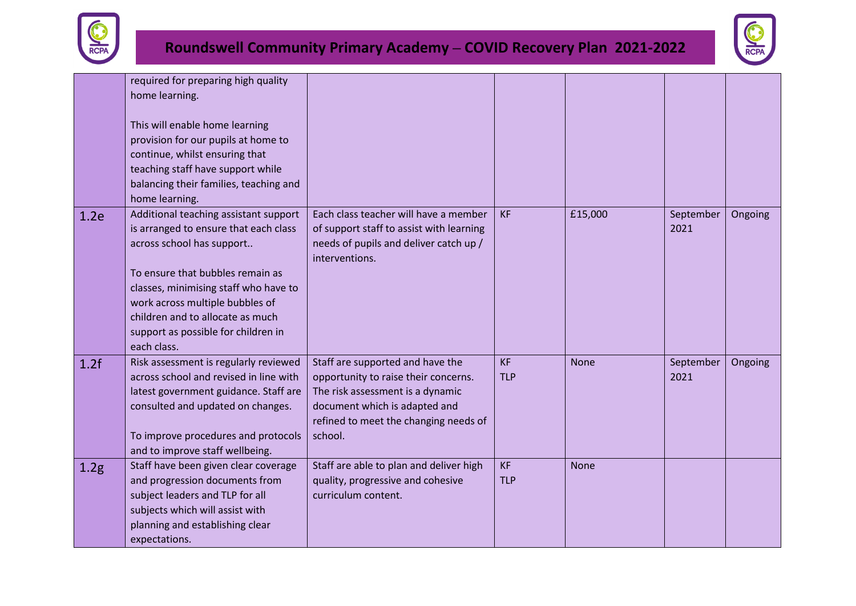



|      | required for preparing high quality<br>home learning.<br>This will enable home learning<br>provision for our pupils at home to<br>continue, whilst ensuring that<br>teaching staff have support while<br>balancing their families, teaching and<br>home learning.                                                     |                                                                                                                                                                                                   |                         |             |                   |         |
|------|-----------------------------------------------------------------------------------------------------------------------------------------------------------------------------------------------------------------------------------------------------------------------------------------------------------------------|---------------------------------------------------------------------------------------------------------------------------------------------------------------------------------------------------|-------------------------|-------------|-------------------|---------|
| 1.2e | Additional teaching assistant support<br>is arranged to ensure that each class<br>across school has support<br>To ensure that bubbles remain as<br>classes, minimising staff who have to<br>work across multiple bubbles of<br>children and to allocate as much<br>support as possible for children in<br>each class. | Each class teacher will have a member<br>of support staff to assist with learning<br>needs of pupils and deliver catch up /<br>interventions.                                                     | <b>KF</b>               | £15,000     | September<br>2021 | Ongoing |
| 1.2f | Risk assessment is regularly reviewed<br>across school and revised in line with<br>latest government guidance. Staff are<br>consulted and updated on changes.<br>To improve procedures and protocols<br>and to improve staff wellbeing.                                                                               | Staff are supported and have the<br>opportunity to raise their concerns.<br>The risk assessment is a dynamic<br>document which is adapted and<br>refined to meet the changing needs of<br>school. | <b>KF</b><br><b>TLP</b> | <b>None</b> | September<br>2021 | Ongoing |
| 1.2g | Staff have been given clear coverage<br>and progression documents from<br>subject leaders and TLP for all<br>subjects which will assist with<br>planning and establishing clear<br>expectations.                                                                                                                      | Staff are able to plan and deliver high<br>quality, progressive and cohesive<br>curriculum content.                                                                                               | <b>KF</b><br><b>TLP</b> | <b>None</b> |                   |         |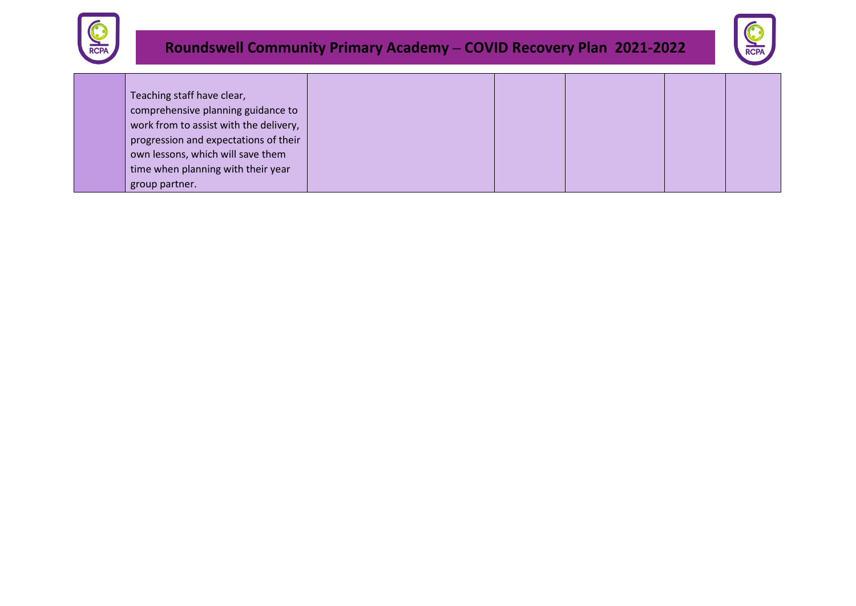



| Teaching staff have clear,             |  |  |  |
|----------------------------------------|--|--|--|
| comprehensive planning guidance to     |  |  |  |
| work from to assist with the delivery, |  |  |  |
| progression and expectations of their  |  |  |  |
| own lessons, which will save them      |  |  |  |
| time when planning with their year     |  |  |  |
| group partner.                         |  |  |  |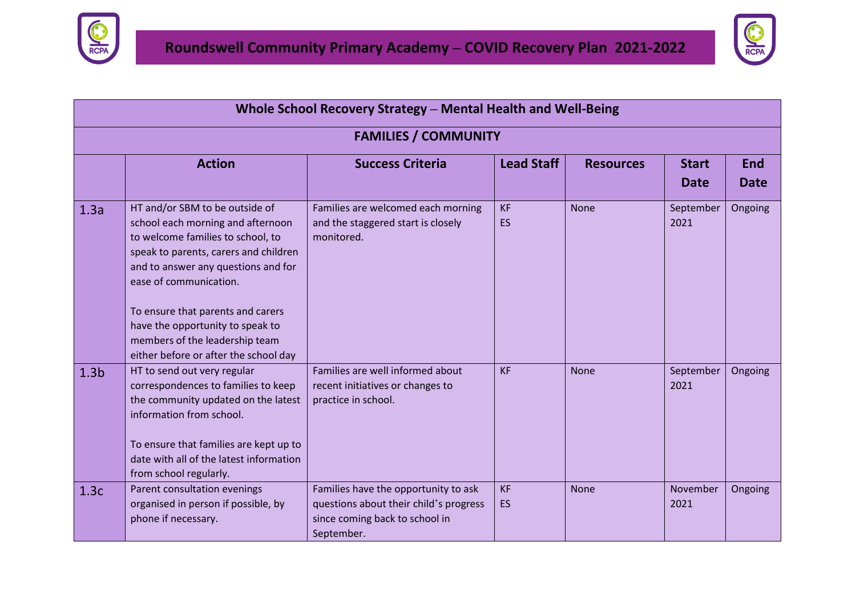



|                  |                                                                                                                                                                                                                                                                                                                                                                        | Whole School Recovery Strategy - Mental Health and Well-Being                                                                  |                        |                  |                             |                           |
|------------------|------------------------------------------------------------------------------------------------------------------------------------------------------------------------------------------------------------------------------------------------------------------------------------------------------------------------------------------------------------------------|--------------------------------------------------------------------------------------------------------------------------------|------------------------|------------------|-----------------------------|---------------------------|
|                  |                                                                                                                                                                                                                                                                                                                                                                        | <b>FAMILIES / COMMUNITY</b>                                                                                                    |                        |                  |                             |                           |
|                  | <b>Action</b>                                                                                                                                                                                                                                                                                                                                                          | <b>Success Criteria</b>                                                                                                        | <b>Lead Staff</b>      | <b>Resources</b> | <b>Start</b><br><b>Date</b> | <b>End</b><br><b>Date</b> |
| 1.3a             | HT and/or SBM to be outside of<br>school each morning and afternoon<br>to welcome families to school, to<br>speak to parents, carers and children<br>and to answer any questions and for<br>ease of communication.<br>To ensure that parents and carers<br>have the opportunity to speak to<br>members of the leadership team<br>either before or after the school day | Families are welcomed each morning<br>and the staggered start is closely<br>monitored.                                         | <b>KF</b><br><b>ES</b> | <b>None</b>      | September<br>2021           | Ongoing                   |
| 1.3 <sub>b</sub> | HT to send out very regular<br>correspondences to families to keep<br>the community updated on the latest<br>information from school.<br>To ensure that families are kept up to<br>date with all of the latest information<br>from school regularly.                                                                                                                   | Families are well informed about<br>recent initiatives or changes to<br>practice in school.                                    | <b>KF</b>              | <b>None</b>      | September<br>2021           | Ongoing                   |
| 1.3c             | Parent consultation evenings<br>organised in person if possible, by<br>phone if necessary.                                                                                                                                                                                                                                                                             | Families have the opportunity to ask<br>questions about their child's progress<br>since coming back to school in<br>September. | <b>KF</b><br><b>ES</b> | <b>None</b>      | November<br>2021            | Ongoing                   |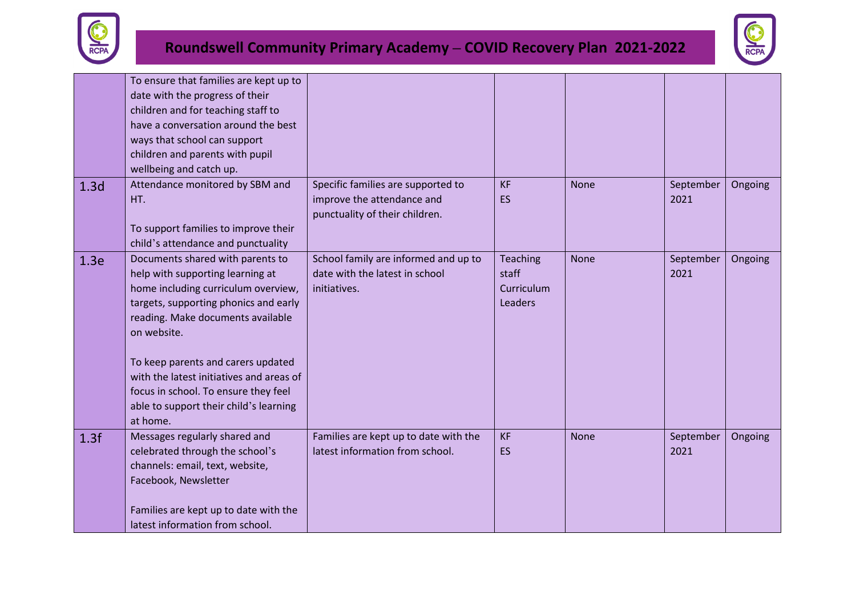



|                  | To ensure that families are kept up to<br>date with the progress of their<br>children and for teaching staff to<br>have a conversation around the best<br>ways that school can support<br>children and parents with pupil<br>wellbeing and catch up.                                                                                                                                     |                                                                                                    |                                                   |             |                   |         |
|------------------|------------------------------------------------------------------------------------------------------------------------------------------------------------------------------------------------------------------------------------------------------------------------------------------------------------------------------------------------------------------------------------------|----------------------------------------------------------------------------------------------------|---------------------------------------------------|-------------|-------------------|---------|
| 1.3 <sub>d</sub> | Attendance monitored by SBM and<br>HT.<br>To support families to improve their<br>child's attendance and punctuality                                                                                                                                                                                                                                                                     | Specific families are supported to<br>improve the attendance and<br>punctuality of their children. | <b>KF</b><br>ES                                   | None        | September<br>2021 | Ongoing |
| 1.3e             | Documents shared with parents to<br>help with supporting learning at<br>home including curriculum overview,<br>targets, supporting phonics and early<br>reading. Make documents available<br>on website.<br>To keep parents and carers updated<br>with the latest initiatives and areas of<br>focus in school. To ensure they feel<br>able to support their child's learning<br>at home. | School family are informed and up to<br>date with the latest in school<br>initiatives.             | <b>Teaching</b><br>staff<br>Curriculum<br>Leaders | <b>None</b> | September<br>2021 | Ongoing |
| 1.3f             | Messages regularly shared and<br>celebrated through the school's<br>channels: email, text, website,<br>Facebook, Newsletter<br>Families are kept up to date with the<br>latest information from school.                                                                                                                                                                                  | Families are kept up to date with the<br>latest information from school.                           | <b>KF</b><br>ES                                   | <b>None</b> | September<br>2021 | Ongoing |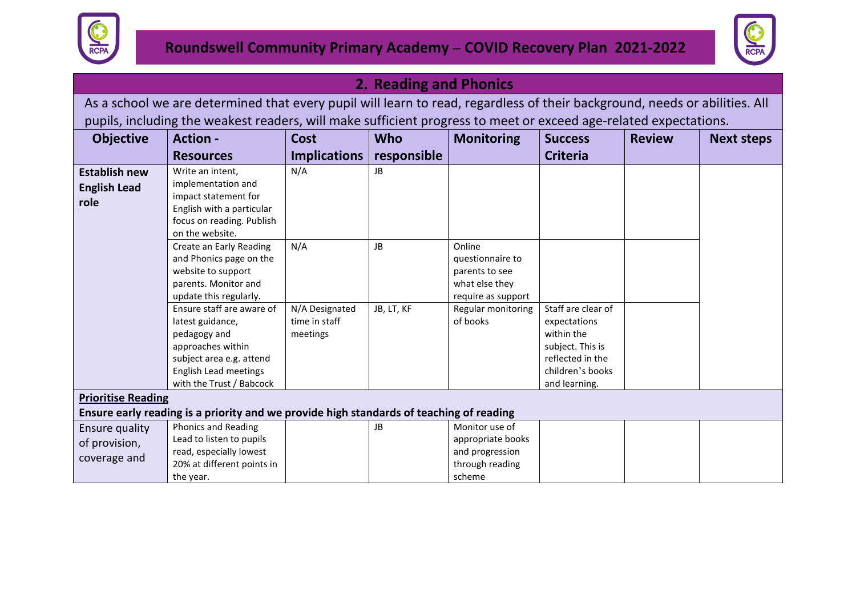



#### **2. Reading and Phonics**

As a school we are determined that every pupil will learn to read, regardless of their background, needs or abilities. All pupils, including the weakest readers, will make sufficient progress to meet or exceed age-related expectations.

| <b>Objective</b>                                    | <b>Action -</b>                                                                                                                                                                                   | Cost                                        | <b>Who</b>      | <b>Monitoring</b>                                                                   | <b>Success</b>                                                                                                                | <b>Review</b> | <b>Next steps</b> |
|-----------------------------------------------------|---------------------------------------------------------------------------------------------------------------------------------------------------------------------------------------------------|---------------------------------------------|-----------------|-------------------------------------------------------------------------------------|-------------------------------------------------------------------------------------------------------------------------------|---------------|-------------------|
|                                                     | <b>Resources</b>                                                                                                                                                                                  | <b>Implications</b>                         | responsible     |                                                                                     | <b>Criteria</b>                                                                                                               |               |                   |
| <b>Establish new</b><br><b>English Lead</b><br>role | Write an intent,<br>implementation and<br>impact statement for<br>English with a particular<br>focus on reading. Publish<br>on the website.<br>Create an Early Reading<br>and Phonics page on the | N/A<br>N/A                                  | JB<br><b>JB</b> | Online<br>questionnaire to                                                          |                                                                                                                               |               |                   |
|                                                     | website to support<br>parents. Monitor and<br>update this regularly.                                                                                                                              |                                             |                 | parents to see<br>what else they<br>require as support                              |                                                                                                                               |               |                   |
|                                                     | Ensure staff are aware of<br>latest guidance,<br>pedagogy and<br>approaches within<br>subject area e.g. attend<br>English Lead meetings<br>with the Trust / Babcock                               | N/A Designated<br>time in staff<br>meetings | JB, LT, KF      | Regular monitoring<br>of books                                                      | Staff are clear of<br>expectations<br>within the<br>subject. This is<br>reflected in the<br>children's books<br>and learning. |               |                   |
| <b>Prioritise Reading</b>                           | Ensure early reading is a priority and we provide high standards of teaching of reading                                                                                                           |                                             |                 |                                                                                     |                                                                                                                               |               |                   |
| Ensure quality<br>of provision,<br>coverage and     | <b>Phonics and Reading</b><br>Lead to listen to pupils<br>read, especially lowest<br>20% at different points in<br>the year.                                                                      |                                             | JB              | Monitor use of<br>appropriate books<br>and progression<br>through reading<br>scheme |                                                                                                                               |               |                   |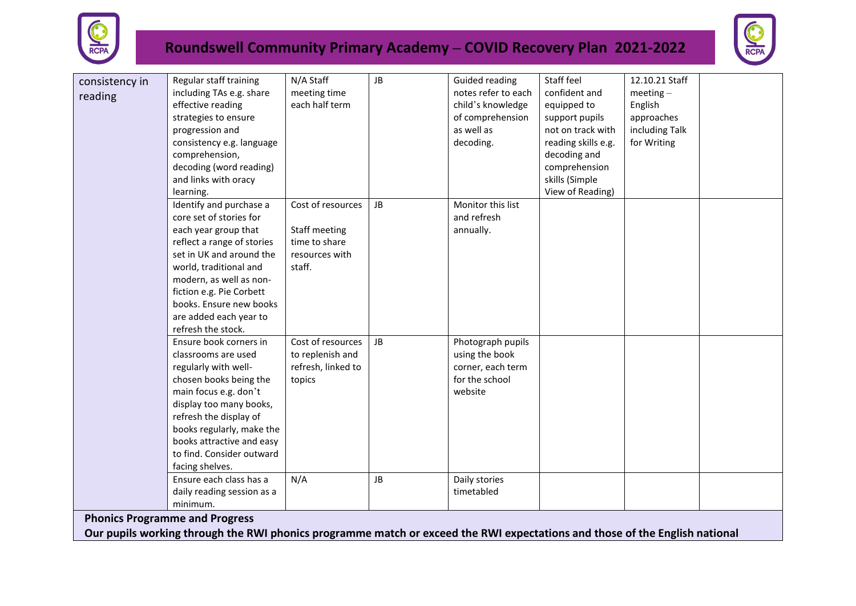



| consistency in | Regular staff training                                                                                                      | N/A Staff          | JB        | Guided reading      | Staff feel          | 12.10.21 Staff |  |
|----------------|-----------------------------------------------------------------------------------------------------------------------------|--------------------|-----------|---------------------|---------------------|----------------|--|
| reading        | including TAs e.g. share                                                                                                    | meeting time       |           | notes refer to each | confident and       | $meeting-$     |  |
|                | effective reading                                                                                                           | each half term     |           | child's knowledge   | equipped to         | English        |  |
|                | strategies to ensure                                                                                                        |                    |           | of comprehension    | support pupils      | approaches     |  |
|                | progression and                                                                                                             |                    |           | as well as          | not on track with   | including Talk |  |
|                | consistency e.g. language                                                                                                   |                    |           | decoding.           | reading skills e.g. | for Writing    |  |
|                | comprehension,                                                                                                              |                    |           |                     | decoding and        |                |  |
|                | decoding (word reading)                                                                                                     |                    |           |                     | comprehension       |                |  |
|                | and links with oracy                                                                                                        |                    |           |                     | skills (Simple      |                |  |
|                | learning.                                                                                                                   |                    |           |                     | View of Reading)    |                |  |
|                | Identify and purchase a                                                                                                     | Cost of resources  | JB        | Monitor this list   |                     |                |  |
|                | core set of stories for                                                                                                     |                    |           | and refresh         |                     |                |  |
|                | each year group that                                                                                                        | Staff meeting      |           | annually.           |                     |                |  |
|                | reflect a range of stories                                                                                                  | time to share      |           |                     |                     |                |  |
|                | set in UK and around the                                                                                                    | resources with     |           |                     |                     |                |  |
|                | world, traditional and                                                                                                      | staff.             |           |                     |                     |                |  |
|                | modern, as well as non-                                                                                                     |                    |           |                     |                     |                |  |
|                | fiction e.g. Pie Corbett                                                                                                    |                    |           |                     |                     |                |  |
|                | books. Ensure new books                                                                                                     |                    |           |                     |                     |                |  |
|                | are added each year to                                                                                                      |                    |           |                     |                     |                |  |
|                | refresh the stock.                                                                                                          |                    |           |                     |                     |                |  |
|                | Ensure book corners in                                                                                                      | Cost of resources  | <b>JB</b> | Photograph pupils   |                     |                |  |
|                | classrooms are used                                                                                                         | to replenish and   |           | using the book      |                     |                |  |
|                | regularly with well-                                                                                                        | refresh, linked to |           | corner, each term   |                     |                |  |
|                | chosen books being the                                                                                                      | topics             |           | for the school      |                     |                |  |
|                | main focus e.g. don't                                                                                                       |                    |           | website             |                     |                |  |
|                | display too many books,                                                                                                     |                    |           |                     |                     |                |  |
|                | refresh the display of                                                                                                      |                    |           |                     |                     |                |  |
|                | books regularly, make the                                                                                                   |                    |           |                     |                     |                |  |
|                | books attractive and easy                                                                                                   |                    |           |                     |                     |                |  |
|                | to find. Consider outward                                                                                                   |                    |           |                     |                     |                |  |
|                | facing shelves.                                                                                                             |                    |           |                     |                     |                |  |
|                | Ensure each class has a                                                                                                     | N/A                | JB        | Daily stories       |                     |                |  |
|                | daily reading session as a                                                                                                  |                    |           | timetabled          |                     |                |  |
|                | minimum.                                                                                                                    |                    |           |                     |                     |                |  |
|                | <b>Phonics Programme and Progress</b>                                                                                       |                    |           |                     |                     |                |  |
|                | Our pupils working through the RWI phonics programme match or exceed the RWI expectations and those of the English national |                    |           |                     |                     |                |  |
|                |                                                                                                                             |                    |           |                     |                     |                |  |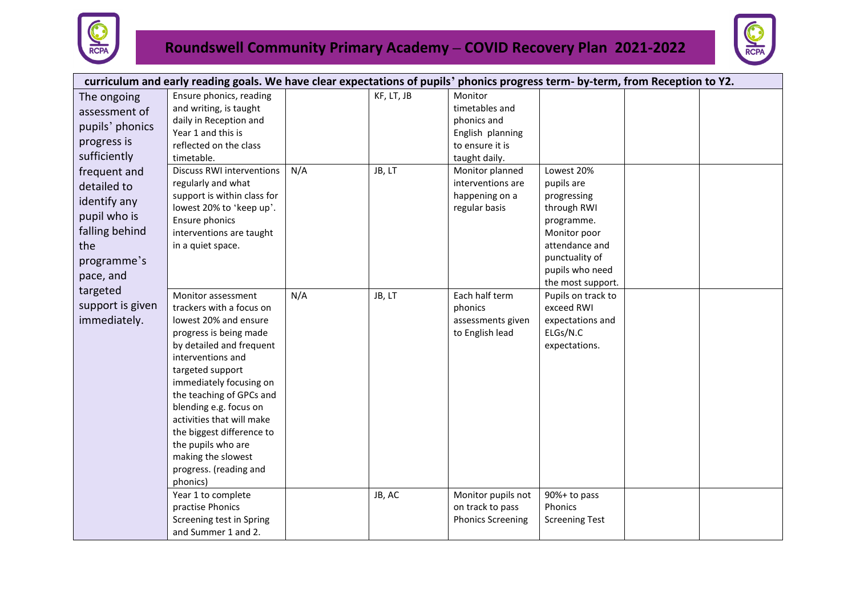



|                                                                                                                  | curriculum and early reading goals. We have clear expectations of pupils' phonics progress term- by-term, from Reception to Y2.                                                                                                                                                                                                                                                                     |     |            |                                                                                                  |                                                                                                                                                                  |  |
|------------------------------------------------------------------------------------------------------------------|-----------------------------------------------------------------------------------------------------------------------------------------------------------------------------------------------------------------------------------------------------------------------------------------------------------------------------------------------------------------------------------------------------|-----|------------|--------------------------------------------------------------------------------------------------|------------------------------------------------------------------------------------------------------------------------------------------------------------------|--|
| The ongoing<br>assessment of<br>pupils' phonics<br>progress is<br>sufficiently                                   | Ensure phonics, reading<br>and writing, is taught<br>daily in Reception and<br>Year 1 and this is<br>reflected on the class<br>timetable.                                                                                                                                                                                                                                                           |     | KF, LT, JB | Monitor<br>timetables and<br>phonics and<br>English planning<br>to ensure it is<br>taught daily. |                                                                                                                                                                  |  |
| frequent and<br>detailed to<br>identify any<br>pupil who is<br>falling behind<br>the<br>programme's<br>pace, and | <b>Discuss RWI interventions</b><br>regularly and what<br>support is within class for<br>lowest 20% to 'keep up'.<br>Ensure phonics<br>interventions are taught<br>in a quiet space.                                                                                                                                                                                                                | N/A | JB, LT     | Monitor planned<br>interventions are<br>happening on a<br>regular basis                          | Lowest 20%<br>pupils are<br>progressing<br>through RWI<br>programme.<br>Monitor poor<br>attendance and<br>punctuality of<br>pupils who need<br>the most support. |  |
| targeted<br>support is given<br>immediately.                                                                     | Monitor assessment<br>trackers with a focus on<br>lowest 20% and ensure<br>progress is being made<br>by detailed and frequent<br>interventions and<br>targeted support<br>immediately focusing on<br>the teaching of GPCs and<br>blending e.g. focus on<br>activities that will make<br>the biggest difference to<br>the pupils who are<br>making the slowest<br>progress. (reading and<br>phonics) | N/A | JB, LT     | Each half term<br>phonics<br>assessments given<br>to English lead                                | Pupils on track to<br>exceed RWI<br>expectations and<br>ELGs/N.C<br>expectations.                                                                                |  |
|                                                                                                                  | Year 1 to complete<br>practise Phonics<br>Screening test in Spring<br>and Summer 1 and 2.                                                                                                                                                                                                                                                                                                           |     | JB, AC     | Monitor pupils not<br>on track to pass<br><b>Phonics Screening</b>                               | 90%+ to pass<br>Phonics<br><b>Screening Test</b>                                                                                                                 |  |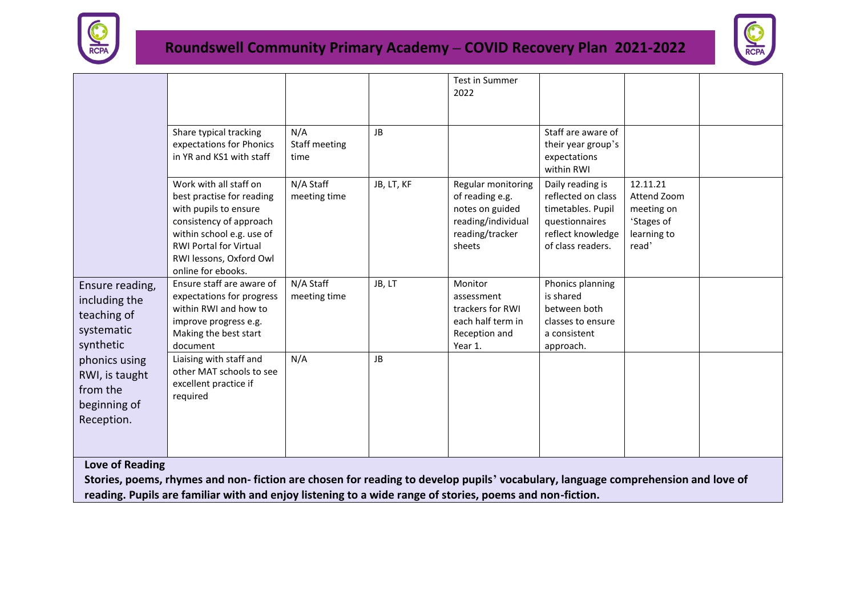



|                                                                            |                                                                                                                                                                                                                        |                              |            | Test in Summer<br>2022                                                                                      |                                                                                                                         |                                                                             |  |
|----------------------------------------------------------------------------|------------------------------------------------------------------------------------------------------------------------------------------------------------------------------------------------------------------------|------------------------------|------------|-------------------------------------------------------------------------------------------------------------|-------------------------------------------------------------------------------------------------------------------------|-----------------------------------------------------------------------------|--|
|                                                                            |                                                                                                                                                                                                                        |                              |            |                                                                                                             |                                                                                                                         |                                                                             |  |
|                                                                            | Share typical tracking<br>expectations for Phonics<br>in YR and KS1 with staff                                                                                                                                         | N/A<br>Staff meeting<br>time | <b>JB</b>  |                                                                                                             | Staff are aware of<br>their year group's<br>expectations<br>within RWI                                                  |                                                                             |  |
|                                                                            | Work with all staff on<br>best practise for reading<br>with pupils to ensure<br>consistency of approach<br>within school e.g. use of<br><b>RWI Portal for Virtual</b><br>RWI lessons, Oxford Owl<br>online for ebooks. | N/A Staff<br>meeting time    | JB, LT, KF | Regular monitoring<br>of reading e.g.<br>notes on guided<br>reading/individual<br>reading/tracker<br>sheets | Daily reading is<br>reflected on class<br>timetables. Pupil<br>questionnaires<br>reflect knowledge<br>of class readers. | 12.11.21<br>Attend Zoom<br>meeting on<br>'Stages of<br>learning to<br>read' |  |
| Ensure reading,<br>including the<br>teaching of<br>systematic<br>synthetic | Ensure staff are aware of<br>expectations for progress<br>within RWI and how to<br>improve progress e.g.<br>Making the best start<br>document                                                                          | N/A Staff<br>meeting time    | JB, LT     | Monitor<br>assessment<br>trackers for RWI<br>each half term in<br>Reception and<br>Year 1.                  | Phonics planning<br>is shared<br>between both<br>classes to ensure<br>a consistent<br>approach.                         |                                                                             |  |
| phonics using<br>RWI, is taught<br>from the<br>beginning of<br>Reception.  | Liaising with staff and<br>other MAT schools to see<br>excellent practice if<br>required                                                                                                                               | N/A                          | JB         |                                                                                                             |                                                                                                                         |                                                                             |  |
| <b>Love of Reading</b>                                                     |                                                                                                                                                                                                                        |                              |            |                                                                                                             |                                                                                                                         |                                                                             |  |
|                                                                            | Stories, poems, rhymes and non-fiction are chosen for reading to develop pupils' vocabulary, language comprehension and love of                                                                                        |                              |            |                                                                                                             |                                                                                                                         |                                                                             |  |
|                                                                            | reading. Pupils are familiar with and enjoy listening to a wide range of stories, poems and non-fiction.                                                                                                               |                              |            |                                                                                                             |                                                                                                                         |                                                                             |  |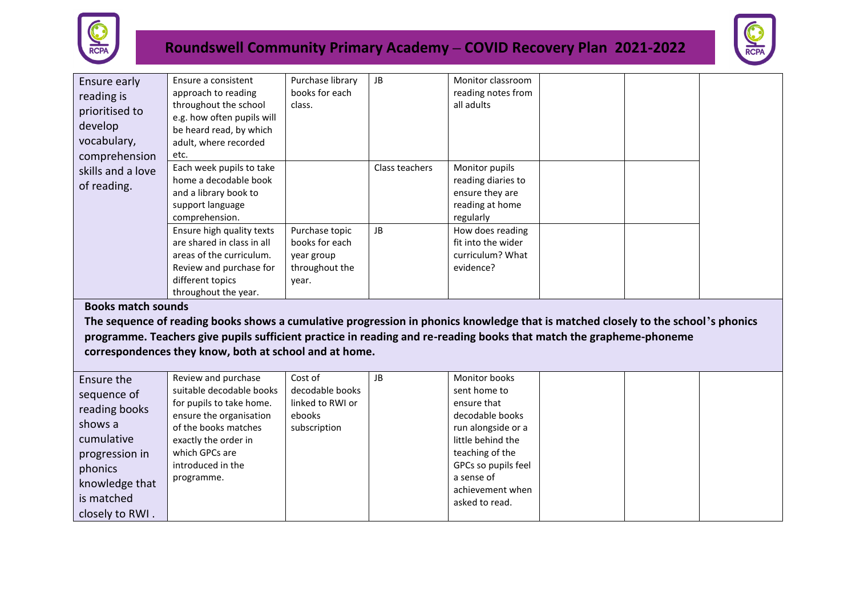



| Ensure early<br>reading is<br>prioritised to<br>develop<br>vocabulary,<br>comprehension | Ensure a consistent<br>approach to reading<br>throughout the school<br>e.g. how often pupils will<br>be heard read, by which<br>adult, where recorded<br>etc. | Purchase library<br>books for each<br>class.                              | JB.            | Monitor classroom<br>reading notes from<br>all adults                                   |  |  |
|-----------------------------------------------------------------------------------------|---------------------------------------------------------------------------------------------------------------------------------------------------------------|---------------------------------------------------------------------------|----------------|-----------------------------------------------------------------------------------------|--|--|
| skills and a love<br>of reading.                                                        | Each week pupils to take<br>home a decodable book<br>and a library book to<br>support language<br>comprehension.                                              |                                                                           | Class teachers | Monitor pupils<br>reading diaries to<br>ensure they are<br>reading at home<br>regularly |  |  |
|                                                                                         | Ensure high quality texts<br>are shared in class in all<br>areas of the curriculum.<br>Review and purchase for<br>different topics<br>throughout the year.    | Purchase topic<br>books for each<br>year group<br>throughout the<br>year. | JB             | How does reading<br>fit into the wider<br>curriculum? What<br>evidence?                 |  |  |

#### **Books match sounds**

**The sequence of reading books shows a cumulative progression in phonics knowledge that is matched closely to the school's phonics programme. Teachers give pupils sufficient practice in reading and re-reading books that match the grapheme-phoneme correspondences they know, both at school and at home.**

| Ensure the      | Review and purchase      | Cost of          | JB | Monitor books       |  |  |
|-----------------|--------------------------|------------------|----|---------------------|--|--|
| sequence of     | suitable decodable books | decodable books  |    | sent home to        |  |  |
| reading books   | for pupils to take home. | linked to RWI or |    | ensure that         |  |  |
|                 | ensure the organisation  | ebooks           |    | decodable books     |  |  |
| shows a         | of the books matches     | subscription     |    | run alongside or a  |  |  |
| cumulative      | exactly the order in     |                  |    | little behind the   |  |  |
| progression in  | which GPCs are           |                  |    | teaching of the     |  |  |
| phonics         | introduced in the        |                  |    | GPCs so pupils feel |  |  |
| knowledge that  | programme.               |                  |    | a sense of          |  |  |
|                 |                          |                  |    | achievement when    |  |  |
| is matched      |                          |                  |    | asked to read.      |  |  |
| closely to RWI. |                          |                  |    |                     |  |  |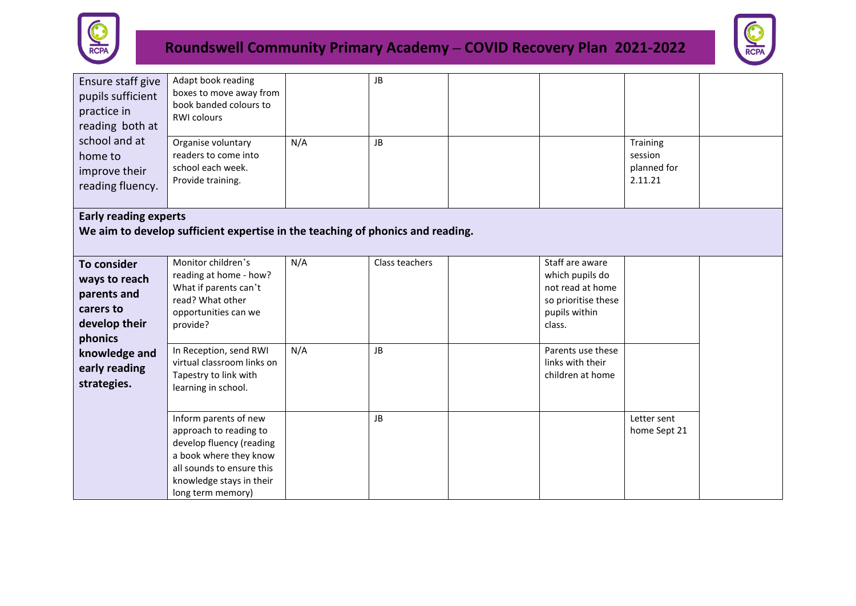



| Ensure staff give<br>pupils sufficient<br>practice in<br>reading both at                              | Adapt book reading<br>boxes to move away from<br>book banded colours to<br><b>RWI colours</b>                                                                                         |            | JB                   |                                                                                                                                                   |                                               |  |
|-------------------------------------------------------------------------------------------------------|---------------------------------------------------------------------------------------------------------------------------------------------------------------------------------------|------------|----------------------|---------------------------------------------------------------------------------------------------------------------------------------------------|-----------------------------------------------|--|
| school and at<br>home to<br>improve their<br>reading fluency.                                         | Organise voluntary<br>readers to come into<br>school each week.<br>Provide training.                                                                                                  | N/A        | JB                   |                                                                                                                                                   | Training<br>session<br>planned for<br>2.11.21 |  |
| <b>Early reading experts</b>                                                                          |                                                                                                                                                                                       |            |                      |                                                                                                                                                   |                                               |  |
|                                                                                                       | We aim to develop sufficient expertise in the teaching of phonics and reading.                                                                                                        |            |                      |                                                                                                                                                   |                                               |  |
| To consider<br>ways to reach<br>parents and<br>carers to<br>develop their<br>phonics<br>knowledge and | Monitor children's<br>reading at home - how?<br>What if parents can't<br>read? What other<br>opportunities can we<br>provide?<br>In Reception, send RWI<br>virtual classroom links on | N/A<br>N/A | Class teachers<br>JB | Staff are aware<br>which pupils do<br>not read at home<br>so prioritise these<br>pupils within<br>class.<br>Parents use these<br>links with their |                                               |  |
| early reading<br>strategies.                                                                          | Tapestry to link with<br>learning in school.                                                                                                                                          |            |                      | children at home                                                                                                                                  |                                               |  |
|                                                                                                       | Inform parents of new<br>approach to reading to<br>develop fluency (reading<br>a book where they know<br>all sounds to ensure this<br>knowledge stays in their<br>long term memory)   |            | JB                   |                                                                                                                                                   | Letter sent<br>home Sept 21                   |  |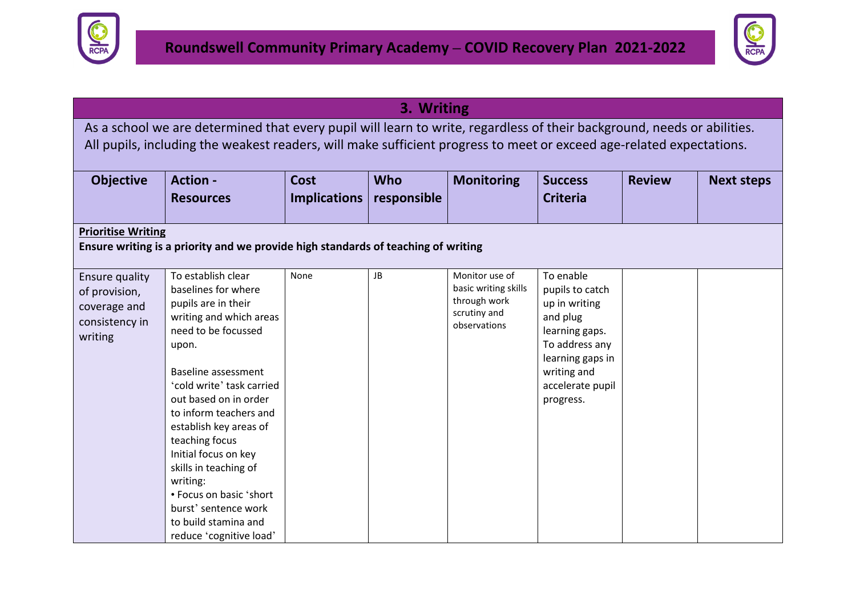



|                                                                              |                                                                                                                                                                                                                                                                                                                                                                                                                                                   |                                    | 3. Writing                |                                                                                        |                                                                                                                                                                   |               |                   |
|------------------------------------------------------------------------------|---------------------------------------------------------------------------------------------------------------------------------------------------------------------------------------------------------------------------------------------------------------------------------------------------------------------------------------------------------------------------------------------------------------------------------------------------|------------------------------------|---------------------------|----------------------------------------------------------------------------------------|-------------------------------------------------------------------------------------------------------------------------------------------------------------------|---------------|-------------------|
|                                                                              | As a school we are determined that every pupil will learn to write, regardless of their background, needs or abilities.<br>All pupils, including the weakest readers, will make sufficient progress to meet or exceed age-related expectations.                                                                                                                                                                                                   |                                    |                           |                                                                                        |                                                                                                                                                                   |               |                   |
| <b>Objective</b>                                                             | <b>Action -</b><br><b>Resources</b>                                                                                                                                                                                                                                                                                                                                                                                                               | <b>Cost</b><br><b>Implications</b> | <b>Who</b><br>responsible | <b>Monitoring</b>                                                                      | <b>Success</b><br><b>Criteria</b>                                                                                                                                 | <b>Review</b> | <b>Next steps</b> |
| <b>Prioritise Writing</b>                                                    |                                                                                                                                                                                                                                                                                                                                                                                                                                                   |                                    |                           |                                                                                        |                                                                                                                                                                   |               |                   |
|                                                                              | Ensure writing is a priority and we provide high standards of teaching of writing                                                                                                                                                                                                                                                                                                                                                                 |                                    |                           |                                                                                        |                                                                                                                                                                   |               |                   |
| Ensure quality<br>of provision,<br>coverage and<br>consistency in<br>writing | To establish clear<br>baselines for where<br>pupils are in their<br>writing and which areas<br>need to be focussed<br>upon.<br>Baseline assessment<br>'cold write' task carried<br>out based on in order<br>to inform teachers and<br>establish key areas of<br>teaching focus<br>Initial focus on key<br>skills in teaching of<br>writing:<br>• Focus on basic 'short<br>burst' sentence work<br>to build stamina and<br>reduce 'cognitive load' | None                               | JB                        | Monitor use of<br>basic writing skills<br>through work<br>scrutiny and<br>observations | To enable<br>pupils to catch<br>up in writing<br>and plug<br>learning gaps.<br>To address any<br>learning gaps in<br>writing and<br>accelerate pupil<br>progress. |               |                   |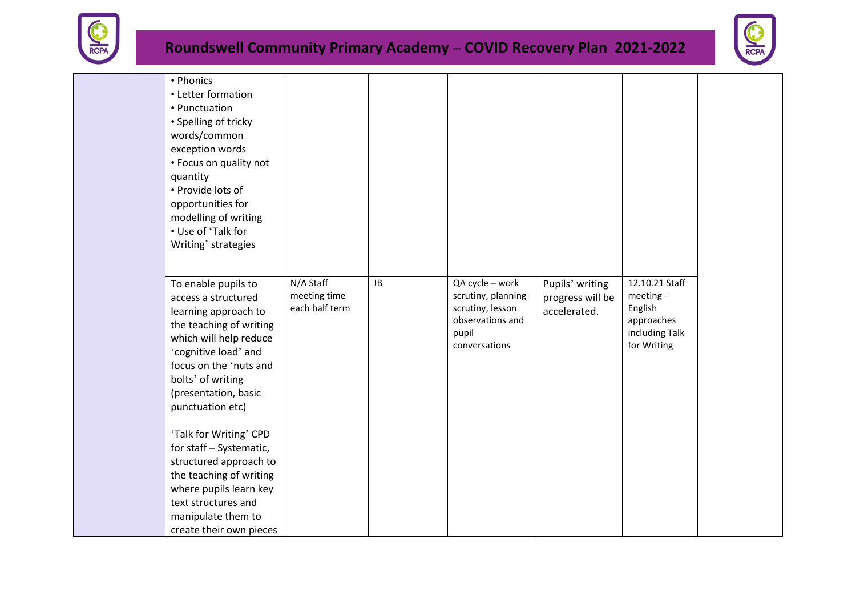



| • Phonics<br>• Letter formation<br>• Punctuation<br>• Spelling of tricky<br>words/common<br>exception words<br>• Focus on quality not<br>quantity<br>• Provide lots of<br>opportunities for<br>modelling of writing<br>• Use of 'Talk for<br>Writing' strategies<br>To enable pupils to<br>access a structured<br>learning approach to<br>the teaching of writing<br>which will help reduce<br>'cognitive load' and<br>focus on the 'nuts and<br>bolts' of writing<br>(presentation, basic | N/A Staff<br>meeting time<br>each half term | JB | QA cycle - work<br>scrutiny, planning<br>scrutiny, lesson<br>observations and<br>pupil<br>conversations | Pupils' writing<br>progress will be<br>accelerated. | 12.10.21 Staff<br>$meeting-$<br>English<br>approaches<br>including Talk<br>for Writing |  |
|--------------------------------------------------------------------------------------------------------------------------------------------------------------------------------------------------------------------------------------------------------------------------------------------------------------------------------------------------------------------------------------------------------------------------------------------------------------------------------------------|---------------------------------------------|----|---------------------------------------------------------------------------------------------------------|-----------------------------------------------------|----------------------------------------------------------------------------------------|--|
|                                                                                                                                                                                                                                                                                                                                                                                                                                                                                            |                                             |    |                                                                                                         |                                                     |                                                                                        |  |
| punctuation etc)                                                                                                                                                                                                                                                                                                                                                                                                                                                                           |                                             |    |                                                                                                         |                                                     |                                                                                        |  |
| 'Talk for Writing' CPD<br>for staff - Systematic,                                                                                                                                                                                                                                                                                                                                                                                                                                          |                                             |    |                                                                                                         |                                                     |                                                                                        |  |
| structured approach to<br>the teaching of writing                                                                                                                                                                                                                                                                                                                                                                                                                                          |                                             |    |                                                                                                         |                                                     |                                                                                        |  |
| where pupils learn key<br>text structures and                                                                                                                                                                                                                                                                                                                                                                                                                                              |                                             |    |                                                                                                         |                                                     |                                                                                        |  |
| manipulate them to<br>create their own pieces                                                                                                                                                                                                                                                                                                                                                                                                                                              |                                             |    |                                                                                                         |                                                     |                                                                                        |  |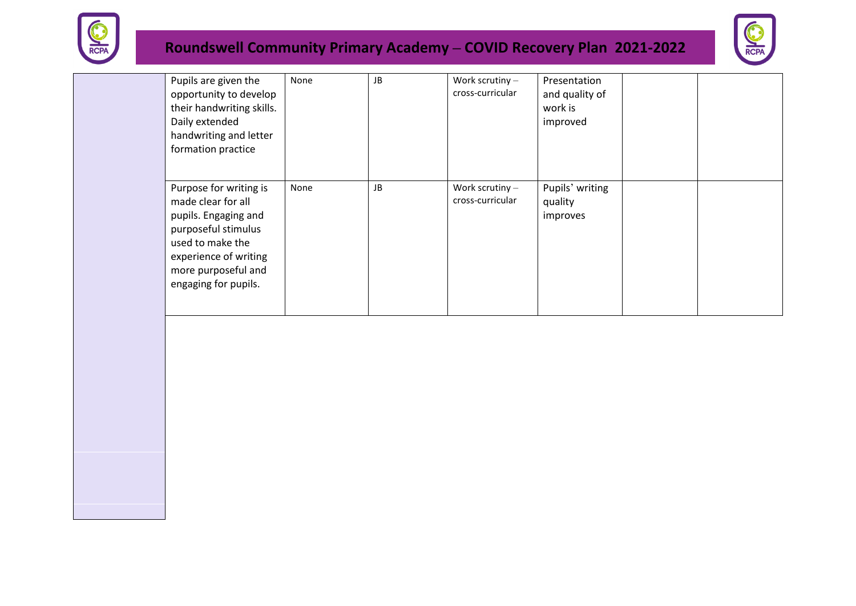



| Pupils are given the<br>opportunity to develop<br>their handwriting skills.<br>Daily extended<br>handwriting and letter<br>formation practice                                           | None | JB | Work scrutiny $-$<br>cross-curricular | Presentation<br>and quality of<br>work is<br>improved |  |
|-----------------------------------------------------------------------------------------------------------------------------------------------------------------------------------------|------|----|---------------------------------------|-------------------------------------------------------|--|
| Purpose for writing is<br>made clear for all<br>pupils. Engaging and<br>purposeful stimulus<br>used to make the<br>experience of writing<br>more purposeful and<br>engaging for pupils. | None | JB | Work scrutiny $-$<br>cross-curricular | Pupils' writing<br>quality<br>improves                |  |